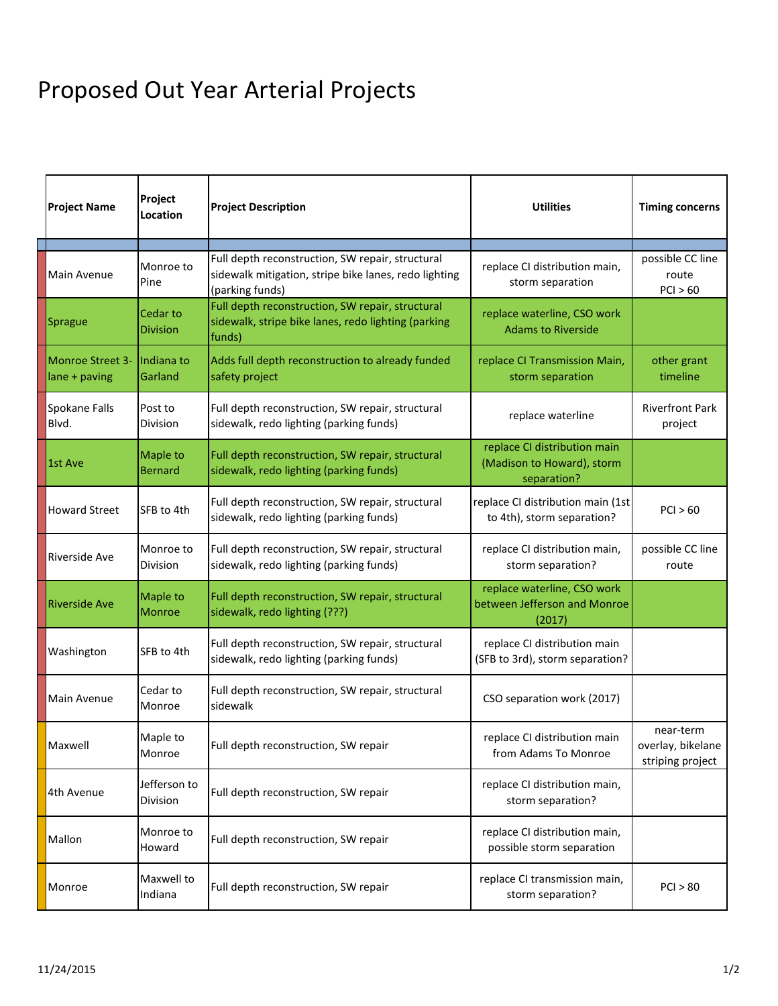## Proposed Out Year Arterial Projects

| <b>Project Name</b>                      | Project<br>Location              | <b>Project Description</b>                                                                                                   | <b>Utilities</b>                                                          | <b>Timing concerns</b>                             |
|------------------------------------------|----------------------------------|------------------------------------------------------------------------------------------------------------------------------|---------------------------------------------------------------------------|----------------------------------------------------|
| Main Avenue                              | Monroe to<br>Pine                | Full depth reconstruction, SW repair, structural<br>sidewalk mitigation, stripe bike lanes, redo lighting<br>(parking funds) | replace CI distribution main,<br>storm separation                         | possible CC line<br>route<br>PCI > 60              |
| Sprague                                  | Cedar to<br><b>Division</b>      | Full depth reconstruction, SW repair, structural<br>sidewalk, stripe bike lanes, redo lighting (parking<br>funds)            | replace waterline, CSO work<br><b>Adams to Riverside</b>                  |                                                    |
| <b>Monroe Street 3-</b><br>lane + paving | Indiana to<br>Garland            | Adds full depth reconstruction to already funded<br>safety project                                                           | replace CI Transmission Main,<br>storm separation                         | other grant<br>timeline                            |
| Spokane Falls<br>Blvd.                   | Post to<br><b>Division</b>       | Full depth reconstruction, SW repair, structural<br>sidewalk, redo lighting (parking funds)                                  | replace waterline                                                         | <b>Riverfront Park</b><br>project                  |
| 1st Ave                                  | Maple to<br><b>Bernard</b>       | Full depth reconstruction, SW repair, structural<br>sidewalk, redo lighting (parking funds)                                  | replace CI distribution main<br>(Madison to Howard), storm<br>separation? |                                                    |
| <b>Howard Street</b>                     | SFB to 4th                       | Full depth reconstruction, SW repair, structural<br>sidewalk, redo lighting (parking funds)                                  | replace CI distribution main (1st<br>to 4th), storm separation?           | PCI > 60                                           |
| Riverside Ave                            | Monroe to<br><b>Division</b>     | Full depth reconstruction, SW repair, structural<br>sidewalk, redo lighting (parking funds)                                  | replace CI distribution main,<br>storm separation?                        | possible CC line<br>route                          |
| <b>Riverside Ave</b>                     | <b>Maple to</b><br><b>Monroe</b> | Full depth reconstruction, SW repair, structural<br>sidewalk, redo lighting (???)                                            | replace waterline, CSO work<br>between Jefferson and Monroe<br>(2017)     |                                                    |
| Washington                               | SFB to 4th                       | Full depth reconstruction, SW repair, structural<br>sidewalk, redo lighting (parking funds)                                  | replace CI distribution main<br>(SFB to 3rd), storm separation?           |                                                    |
| Main Avenue                              | Cedar to<br>Monroe               | Full depth reconstruction, SW repair, structural<br>sidewalk                                                                 | CSO separation work (2017)                                                |                                                    |
| Maxwell                                  | Maple to<br>Monroe               | Full depth reconstruction, SW repair                                                                                         | replace CI distribution main<br>from Adams To Monroe                      | near-term<br>overlay, bikelane<br>striping project |
| 4th Avenue                               | Jefferson to<br>Division         | Full depth reconstruction, SW repair                                                                                         | replace CI distribution main,<br>storm separation?                        |                                                    |
| Mallon                                   | Monroe to<br>Howard              | Full depth reconstruction, SW repair                                                                                         | replace CI distribution main,<br>possible storm separation                |                                                    |
| Monroe                                   | Maxwell to<br>Indiana            | Full depth reconstruction, SW repair                                                                                         | replace CI transmission main,<br>storm separation?                        | PCI > 80                                           |